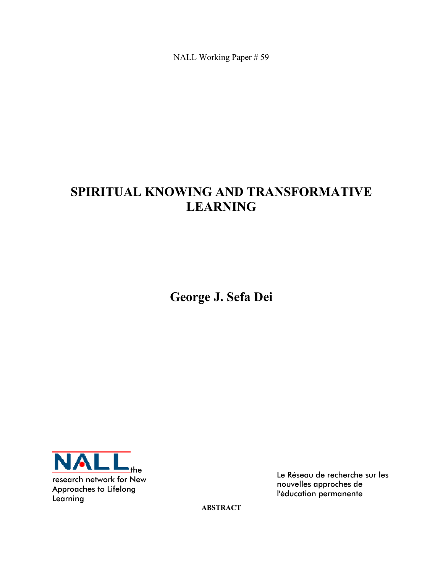NALL Working Paper # 59

# **SPIRITUAL KNOWING AND TRANSFORMATIVE LEARNING**

**George J. Sefa Dei**



Le Réseau de recherche sur les nouvelles approches de l'éducation permanente

**ABSTRACT**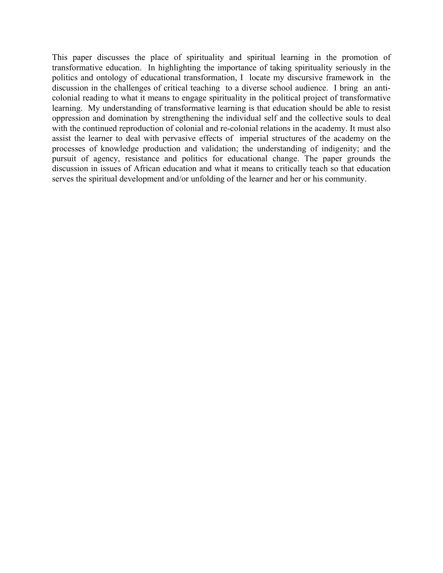This paper discusses the place of spirituality and spiritual learning in the promotion of transformative education. In highlighting the importance of taking spirituality seriously in the politics and ontology of educational transformation, I locate my discursive framework in the discussion in the challenges of critical teaching to a diverse school audience. I bring an anticolonial reading to what it means to engage spirituality in the political project of transformative learning. My understanding of transformative learning is that education should be able to resist oppression and domination by strengthening the individual self and the collective souls to deal with the continued reproduction of colonial and re-colonial relations in the academy. It must also assist the learner to deal with pervasive effects of imperial structures of the academy on the processes of knowledge production and validation; the understanding of indigenity; and the pursuit of agency, resistance and politics for educational change. The paper grounds the discussion in issues of African education and what it means to critically teach so that education serves the spiritual development and/or unfolding of the learner and her or his community.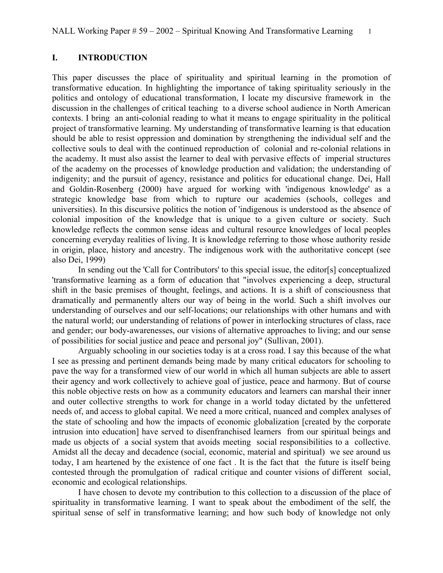# **I. INTRODUCTION**

This paper discusses the place of spirituality and spiritual learning in the promotion of transformative education. In highlighting the importance of taking spirituality seriously in the politics and ontology of educational transformation, I locate my discursive framework in the discussion in the challenges of critical teaching to a diverse school audience in North American contexts. I bring an anti-colonial reading to what it means to engage spirituality in the political project of transformative learning. My understanding of transformative learning is that education should be able to resist oppression and domination by strengthening the individual self and the collective souls to deal with the continued reproduction of colonial and re-colonial relations in the academy. It must also assist the learner to deal with pervasive effects of imperial structures of the academy on the processes of knowledge production and validation; the understanding of indigenity; and the pursuit of agency, resistance and politics for educational change. Dei, Hall and Goldin-Rosenberg (2000) have argued for working with 'indigenous knowledge' as a strategic knowledge base from which to rupture our academies (schools, colleges and universities). In this discursive politics the notion of 'indigenous is understood as the absence of colonial imposition of the knowledge that is unique to a given culture or society. Such knowledge reflects the common sense ideas and cultural resource knowledges of local peoples concerning everyday realities of living. It is knowledge referring to those whose authority reside in origin, place, history and ancestry. The indigenous work with the authoritative concept (see also Dei, 1999)

In sending out the 'Call for Contributors' to this special issue, the editor[s] conceptualized 'transformative learning as a form of education that "involves experiencing a deep, structural shift in the basic premises of thought, feelings, and actions. It is a shift of consciousness that dramatically and permanently alters our way of being in the world. Such a shift involves our understanding of ourselves and our self-locations; our relationships with other humans and with the natural world; our understanding of relations of power in interlocking structures of class, race and gender; our body-awarenesses, our visions of alternative approaches to living; and our sense of possibilities for social justice and peace and personal joy" (Sullivan, 2001).

Arguably schooling in our societies today is at a cross road. I say this because of the what I see as pressing and pertinent demands being made by many critical educators for schooling to pave the way for a transformed view of our world in which all human subjects are able to assert their agency and work collectively to achieve goal of justice, peace and harmony. But of course this noble objective rests on how as a community educators and learners can marshal their inner and outer collective strengths to work for change in a world today dictated by the unfettered needs of, and access to global capital. We need a more critical, nuanced and complex analyses of the state of schooling and how the impacts of economic globalization [created by the corporate intrusion into education] have served to disenfranchised learners from our spiritual beings and made us objects of a social system that avoids meeting social responsibilities to a collective. Amidst all the decay and decadence (social, economic, material and spiritual) we see around us today, I am heartened by the existence of one fact . It is the fact that the future is itself being contested through the promulgation of radical critique and counter visions of different social, economic and ecological relationships.

I have chosen to devote my contribution to this collection to a discussion of the place of spirituality in transformative learning. I want to speak about the embodiment of the self, the spiritual sense of self in transformative learning; and how such body of knowledge not only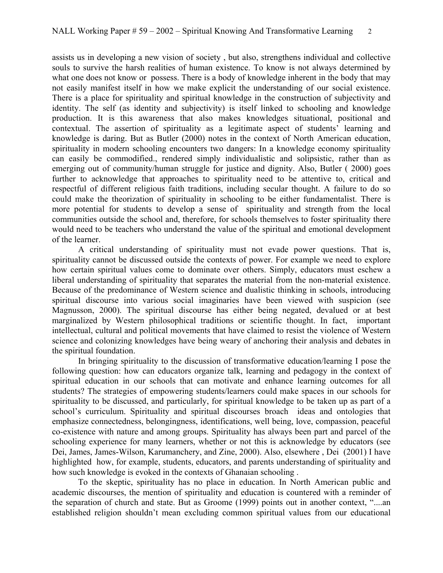assists us in developing a new vision of society , but also, strengthens individual and collective souls to survive the harsh realities of human existence. To know is not always determined by what one does not know or possess. There is a body of knowledge inherent in the body that may not easily manifest itself in how we make explicit the understanding of our social existence. There is a place for spirituality and spiritual knowledge in the construction of subjectivity and identity. The self (as identity and subjectivity) is itself linked to schooling and knowledge production. It is this awareness that also makes knowledges situational, positional and contextual. The assertion of spirituality as a legitimate aspect of students' learning and knowledge is daring. But as Butler (2000) notes in the context of North American education, spirituality in modern schooling encounters two dangers: In a knowledge economy spirituality can easily be commodified., rendered simply individualistic and solipsistic, rather than as emerging out of community/human struggle for justice and dignity. Also, Butler ( 2000) goes further to acknowledge that approaches to spirituality need to be attentive to, critical and respectful of different religious faith traditions, including secular thought. A failure to do so could make the theorization of spirituality in schooling to be either fundamentalist. There is more potential for students to develop a sense of spirituality and strength from the local communities outside the school and, therefore, for schools themselves to foster spirituality there would need to be teachers who understand the value of the spiritual and emotional development of the learner.

A critical understanding of spirituality must not evade power questions. That is, spirituality cannot be discussed outside the contexts of power. For example we need to explore how certain spiritual values come to dominate over others. Simply, educators must eschew a liberal understanding of spirituality that separates the material from the non-material existence. Because of the predominance of Western science and dualistic thinking in schools, introducing spiritual discourse into various social imaginaries have been viewed with suspicion (see Magnusson, 2000). The spiritual discourse has either being negated, devalued or at best marginalized by Western philosophical traditions or scientific thought. In fact, important intellectual, cultural and political movements that have claimed to resist the violence of Western science and colonizing knowledges have being weary of anchoring their analysis and debates in the spiritual foundation.

In bringing spirituality to the discussion of transformative education/learning I pose the following question: how can educators organize talk, learning and pedagogy in the context of spiritual education in our schools that can motivate and enhance learning outcomes for all students? The strategies of empowering students/learners could make spaces in our schools for spirituality to be discussed, and particularly, for spiritual knowledge to be taken up as part of a school's curriculum. Spirituality and spiritual discourses broach ideas and ontologies that emphasize connectedness, belongingness, identifications, well being, love, compassion, peaceful co-existence with nature and among groups. Spirituality has always been part and parcel of the schooling experience for many learners, whether or not this is acknowledge by educators (see Dei, James, James-Wilson, Karumanchery, and Zine, 2000). Also, elsewhere , Dei (2001) I have highlighted how, for example, students, educators, and parents understanding of spirituality and how such knowledge is evoked in the contexts of Ghanaian schooling .

To the skeptic, spirituality has no place in education. In North American public and academic discourses, the mention of spirituality and education is countered with a reminder of the separation of church and state. But as Groome (1999) points out in another context, "....an established religion shouldn't mean excluding common spiritual values from our educational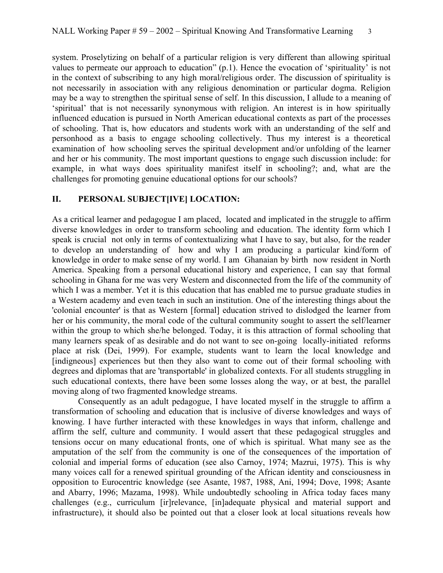system. Proselytizing on behalf of a particular religion is very different than allowing spiritual values to permeate our approach to education" (p.1). Hence the evocation of 'spirituality' is not in the context of subscribing to any high moral/religious order. The discussion of spirituality is not necessarily in association with any religious denomination or particular dogma. Religion may be a way to strengthen the spiritual sense of self. In this discussion, I allude to a meaning of 'spiritual' that is not necessarily synonymous with religion. An interest is in how spiritually influenced education is pursued in North American educational contexts as part of the processes of schooling. That is, how educators and students work with an understanding of the self and personhood as a basis to engage schooling collectively. Thus my interest is a theoretical examination of how schooling serves the spiritual development and/or unfolding of the learner and her or his community. The most important questions to engage such discussion include: for example, in what ways does spirituality manifest itself in schooling?; and, what are the challenges for promoting genuine educational options for our schools?

# **II. PERSONAL SUBJECT[IVE] LOCATION:**

As a critical learner and pedagogue I am placed, located and implicated in the struggle to affirm diverse knowledges in order to transform schooling and education. The identity form which I speak is crucial not only in terms of contextualizing what I have to say, but also, for the reader to develop an understanding of how and why I am producing a particular kind/form of knowledge in order to make sense of my world. I am Ghanaian by birth now resident in North America. Speaking from a personal educational history and experience, I can say that formal schooling in Ghana for me was very Western and disconnected from the life of the community of which I was a member. Yet it is this education that has enabled me to pursue graduate studies in a Western academy and even teach in such an institution. One of the interesting things about the 'colonial encounter' is that as Western [formal] education strived to dislodged the learner from her or his community, the moral code of the cultural community sought to assert the self/learner within the group to which she/he belonged. Today, it is this attraction of formal schooling that many learners speak of as desirable and do not want to see on-going locally-initiated reforms place at risk (Dei, 1999). For example, students want to learn the local knowledge and [indigneous] experiences but then they also want to come out of their formal schooling with degrees and diplomas that are 'transportable' in globalized contexts. For all students struggling in such educational contexts, there have been some losses along the way, or at best, the parallel moving along of two fragmented knowledge streams.

Consequently as an adult pedagogue, I have located myself in the struggle to affirm a transformation of schooling and education that is inclusive of diverse knowledges and ways of knowing. I have further interacted with these knowledges in ways that inform, challenge and affirm the self, culture and community. I would assert that these pedagogical struggles and tensions occur on many educational fronts, one of which is spiritual. What many see as the amputation of the self from the community is one of the consequences of the importation of colonial and imperial forms of education (see also Carnoy, 1974; Mazrui, 1975). This is why many voices call for a renewed spiritual grounding of the African identity and consciousness in opposition to Eurocentric knowledge (see Asante, 1987, 1988, Ani, 1994; Dove, 1998; Asante and Abarry, 1996; Mazama, 1998). While undoubtedly schooling in Africa today faces many challenges (e.g., curriculum [ir]relevance, [in]adequate physical and material support and infrastructure), it should also be pointed out that a closer look at local situations reveals how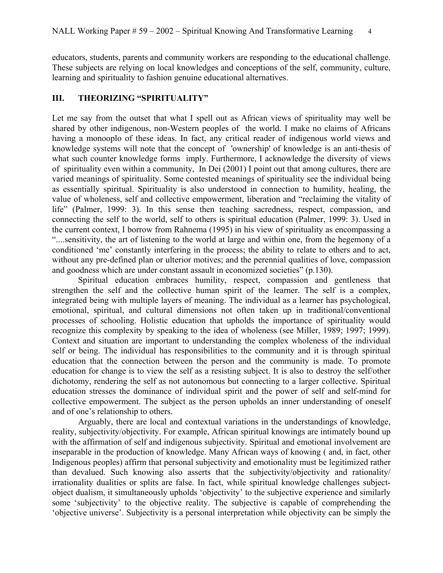educators, students, parents and community workers are responding to the educational challenge. These subjects are relying on local knowledges and conceptions of the self, community, culture, learning and spirituality to fashion genuine educational alternatives.

## **III. THEORIZING "SPIRITUALITY"**

Let me say from the outset that what I spell out as African views of spirituality may well be shared by other indigenous, non-Western peoples of the world. I make no claims of Africans having a monooplo of these ideas. In fact, any critical reader of indigenous world views and knowledge systems will note that the concept of 'ownership' of knowledge is an anti-thesis of what such counter knowledge forms imply. Furthermore, I acknowledge the diversity of views of spirituality even within a community, In Dei (2001) I point out that among cultures, there are varied meanings of spirituality. Some contested meanings of spirituality see the individual being as essentially spiritual. Spirituality is also understood in connection to humility, healing, the value of wholeness, self and collective empowerment, liberation and "reclaiming the vitality of life" (Palmer, 1999: 3). In this sense then teaching sacredness, respect, compassion, and connecting the self to the world, self to others is spiritual education (Palmer, 1999: 3). Used in the current context, I borrow from Rahnema (1995) in his view of spirituality as encompassing a "....sensitivity, the art of listening to the world at large and within one, from the hegemony of a conditioned 'me' constantly interfering in the process; the ability to relate to others and to act, without any pre-defined plan or ulterior motives; and the perennial qualities of love, compassion and goodness which are under constant assault in economized societies" (p.130).

Spiritual education embraces humility, respect, compassion and gentleness that strengthen the self and the collective human spirit of the learner. The self is a complex, integrated being with multiple layers of meaning. The individual as a learner has psychological, emotional, spiritual, and cultural dimensions not often taken up in traditional/conventional processes of schooling. Holistic education that upholds the importance of spirituality would recognize this complexity by speaking to the idea of wholeness (see Miller, 1989; 1997; 1999). Context and situation are important to understanding the complex wholeness of the individual self or being. The individual has responsibilities to the community and it is through spiritual education that the connection between the person and the community is made. To promote education for change is to view the self as a resisting subject. It is also to destroy the self/other dichotomy, rendering the self as not autonomous but connecting to a larger collective. Spiritual education stresses the dominance of individual spirit and the power of self and self-mind for collective empowerment. The subject as the person upholds an inner understanding of oneself and of one's relationship to others.

Arguably, there are local and contextual variations in the understandings of knowledge, reality, subjectivity/objectivity. For example, African spiritual knowings are intimately bound up with the affirmation of self and indigenous subjectivity. Spiritual and emotional involvement are inseparable in the production of knowledge. Many African ways of knowing ( and, in fact, other Indigenous peoples) affirm that personal subjectivity and emotionality must be legitimized rather than devalued. Such knowing also asserts that the subjectivity/objectivity and rationality/ irrationality dualities or splits are false. In fact, while spiritual knowledge challenges subjectobject dualism, it simultaneously upholds 'objectivity' to the subjective experience and similarly some 'subjectivity' to the objective reality. The subjective is capable of comprehending the 'objective universe'. Subjectivity is a personal interpretation while objectivity can be simply the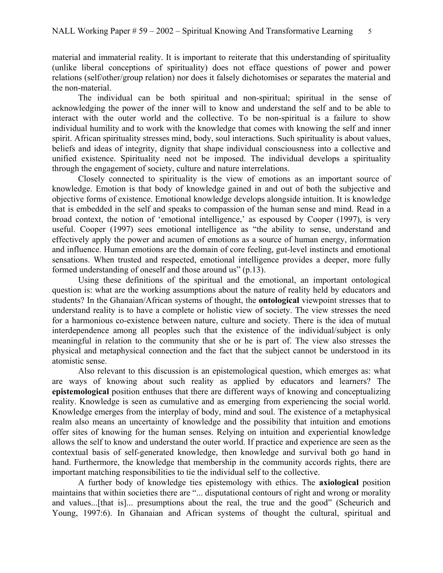material and immaterial reality. It is important to reiterate that this understanding of spirituality (unlike liberal conceptions of spirituality) does not efface questions of power and power relations (self/other/group relation) nor does it falsely dichotomises or separates the material and the non-material.

The individual can be both spiritual and non-spiritual; spiritual in the sense of acknowledging the power of the inner will to know and understand the self and to be able to interact with the outer world and the collective. To be non-spiritual is a failure to show individual humility and to work with the knowledge that comes with knowing the self and inner spirit. African spirituality stresses mind, body, soul interactions. Such spirituality is about values, beliefs and ideas of integrity, dignity that shape individual consciousness into a collective and unified existence. Spirituality need not be imposed. The individual develops a spirituality through the engagement of society, culture and nature interrelations.

Closely connected to spirituality is the view of emotions as an important source of knowledge. Emotion is that body of knowledge gained in and out of both the subjective and objective forms of existence. Emotional knowledge develops alongside intuition. It is knowledge that is embedded in the self and speaks to compassion of the human sense and mind. Read in a broad context, the notion of 'emotional intelligence,' as espoused by Cooper (1997), is very useful. Cooper (1997) sees emotional intelligence as "the ability to sense, understand and effectively apply the power and acumen of emotions as a source of human energy, information and influence. Human emotions are the domain of core feeling, gut-level instincts and emotional sensations. When trusted and respected, emotional intelligence provides a deeper, more fully formed understanding of oneself and those around us" (p.13).

Using these definitions of the spiritual and the emotional, an important ontological question is: what are the working assumptions about the nature of reality held by educators and students? In the Ghanaian/African systems of thought, the **ontological** viewpoint stresses that to understand reality is to have a complete or holistic view of society. The view stresses the need for a harmonious co-existence between nature, culture and society. There is the idea of mutual interdependence among all peoples such that the existence of the individual/subject is only meaningful in relation to the community that she or he is part of. The view also stresses the physical and metaphysical connection and the fact that the subject cannot be understood in its atomistic sense.

Also relevant to this discussion is an epistemological question, which emerges as: what are ways of knowing about such reality as applied by educators and learners? The **epistemological** position enthuses that there are different ways of knowing and conceptualizing reality. Knowledge is seen as cumulative and as emerging from experiencing the social world. Knowledge emerges from the interplay of body, mind and soul. The existence of a metaphysical realm also means an uncertainty of knowledge and the possibility that intuition and emotions offer sites of knowing for the human senses. Relying on intuition and experiential knowledge allows the self to know and understand the outer world. If practice and experience are seen as the contextual basis of self-generated knowledge, then knowledge and survival both go hand in hand. Furthermore, the knowledge that membership in the community accords rights, there are important matching responsibilities to tie the individual self to the collective.

A further body of knowledge ties epistemology with ethics. The **axiological** position maintains that within societies there are "... disputational contours of right and wrong or morality and values...[that is]... presumptions about the real, the true and the good" (Scheurich and Young, 1997:6). In Ghanaian and African systems of thought the cultural, spiritual and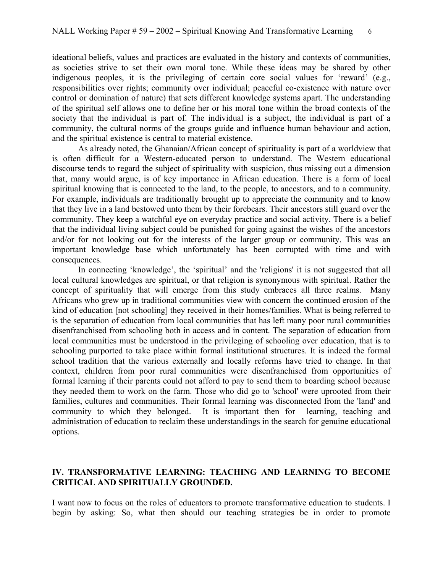ideational beliefs, values and practices are evaluated in the history and contexts of communities, as societies strive to set their own moral tone. While these ideas may be shared by other indigenous peoples, it is the privileging of certain core social values for 'reward' (e.g., responsibilities over rights; community over individual; peaceful co-existence with nature over control or domination of nature) that sets different knowledge systems apart. The understanding of the spiritual self allows one to define her or his moral tone within the broad contexts of the society that the individual is part of. The individual is a subject, the individual is part of a community, the cultural norms of the groups guide and influence human behaviour and action, and the spiritual existence is central to material existence.

As already noted, the Ghanaian/African concept of spirituality is part of a worldview that is often difficult for a Western-educated person to understand. The Western educational discourse tends to regard the subject of spirituality with suspicion, thus missing out a dimension that, many would argue, is of key importance in African education. There is a form of local spiritual knowing that is connected to the land, to the people, to ancestors, and to a community. For example, individuals are traditionally brought up to appreciate the community and to know that they live in a land bestowed unto them by their forebears. Their ancestors still guard over the community. They keep a watchful eye on everyday practice and social activity. There is a belief that the individual living subject could be punished for going against the wishes of the ancestors and/or for not looking out for the interests of the larger group or community. This was an important knowledge base which unfortunately has been corrupted with time and with consequences.

In connecting 'knowledge', the 'spiritual' and the 'religions' it is not suggested that all local cultural knowledges are spiritual, or that religion is synonymous with spiritual. Rather the concept of spirituality that will emerge from this study embraces all three realms. Many Africans who grew up in traditional communities view with concern the continued erosion of the kind of education [not schooling] they received in their homes/families. What is being referred to is the separation of education from local communities that has left many poor rural communities disenfranchised from schooling both in access and in content. The separation of education from local communities must be understood in the privileging of schooling over education, that is to schooling purported to take place within formal institutional structures. It is indeed the formal school tradition that the various externally and locally reforms have tried to change. In that context, children from poor rural communities were disenfranchised from opportunities of formal learning if their parents could not afford to pay to send them to boarding school because they needed them to work on the farm. Those who did go to 'school' were uprooted from their families, cultures and communities. Their formal learning was disconnected from the 'land' and community to which they belonged. It is important then for learning, teaching and administration of education to reclaim these understandings in the search for genuine educational options.

## **IV. TRANSFORMATIVE LEARNING: TEACHING AND LEARNING TO BECOME CRITICAL AND SPIRITUALLY GROUNDED.**

I want now to focus on the roles of educators to promote transformative education to students. I begin by asking: So, what then should our teaching strategies be in order to promote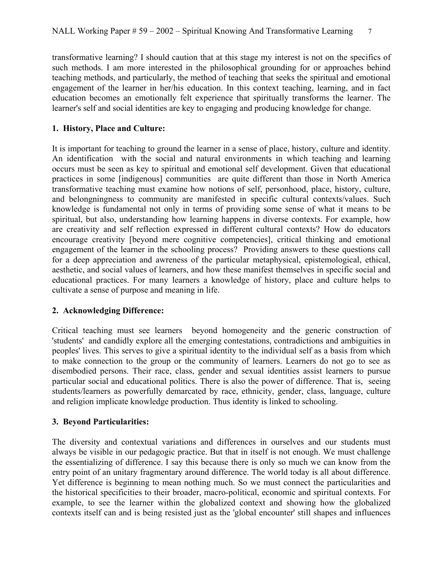transformative learning? I should caution that at this stage my interest is not on the specifics of such methods. I am more interested in the philosophical grounding for or approaches behind teaching methods, and particularly, the method of teaching that seeks the spiritual and emotional engagement of the learner in her/his education. In this context teaching, learning, and in fact education becomes an emotionally felt experience that spiritually transforms the learner. The learner's self and social identities are key to engaging and producing knowledge for change.

## **1. History, Place and Culture:**

It is important for teaching to ground the learner in a sense of place, history, culture and identity. An identification with the social and natural environments in which teaching and learning occurs must be seen as key to spiritual and emotional self development. Given that educational practices in some [indigenous] communities are quite different than those in North America transformative teaching must examine how notions of self, personhood, place, history, culture, and belongningness to community are manifested in specific cultural contexts/values. Such knowledge is fundamental not only in terms of providing some sense of what it means to be spiritual, but also, understanding how learning happens in diverse contexts. For example, how are creativity and self reflection expressed in different cultural contexts? How do educators encourage creativity [beyond mere cognitive competencies], critical thinking and emotional engagement of the learner in the schooling process? Providing answers to these questions call for a deep appreciation and awreness of the particular metaphysical, epistemological, ethical, aesthetic, and social values of learners, and how these manifest themselves in specific social and educational practices. For many learners a knowledge of history, place and culture helps to cultivate a sense of purpose and meaning in life.

# **2. Acknowledging Difference:**

Critical teaching must see learners beyond homogeneity and the generic construction of 'students' and candidly explore all the emerging contestations, contradictions and ambiguities in peoples' lives. This serves to give a spiritual identity to the individual self as a basis from which to make connection to the group or the community of learners. Learners do not go to see as disembodied persons. Their race, class, gender and sexual identities assist learners to pursue particular social and educational politics. There is also the power of difference. That is, seeing students/learners as powerfully demarcated by race, ethnicity, gender, class, language, culture and religion implicate knowledge production. Thus identity is linked to schooling.

# **3. Beyond Particularities:**

The diversity and contextual variations and differences in ourselves and our students must always be visible in our pedagogic practice. But that in itself is not enough. We must challenge the essentializing of difference. I say this because there is only so much we can know from the entry point of an unitary fragmentary around difference. The world today is all about difference. Yet difference is beginning to mean nothing much. So we must connect the particularities and the historical specificities to their broader, macro-political, economic and spiritual contexts. For example, to see the learner within the globalized context and showing how the globalized contexts itself can and is being resisted just as the 'global encounter' still shapes and influences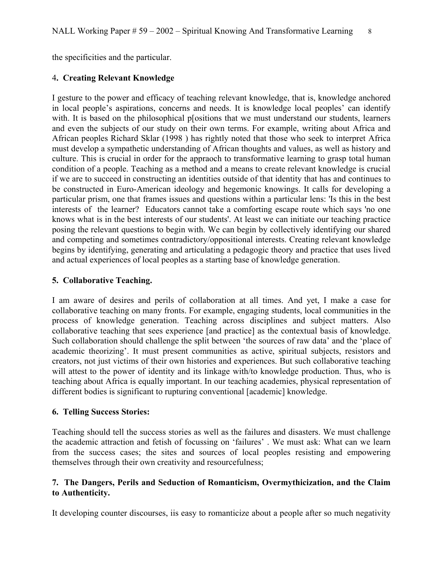the specificities and the particular.

## 4**. Creating Relevant Knowledge**

I gesture to the power and efficacy of teaching relevant knowledge, that is, knowledge anchored in local people's aspirations, concerns and needs. It is knowledge local peoples' can identify with. It is based on the philosophical p[ositions that we must understand our students, learners and even the subjects of our study on their own terms. For example, writing about Africa and African peoples Richard Sklar (1998 ) has rightly noted that those who seek to interpret Africa must develop a sympathetic understanding of African thoughts and values, as well as history and culture. This is crucial in order for the appraoch to transformative learning to grasp total human condition of a people. Teaching as a method and a means to create relevant knowledge is crucial if we are to succeed in constructing an identities outside of that identity that has and continues to be constructed in Euro-American ideology and hegemonic knowings. It calls for developing a particular prism, one that frames issues and questions within a particular lens: 'Is this in the best interests of the learner? Educators cannot take a comforting escape route which says 'no one knows what is in the best interests of our students'. At least we can initiate our teaching practice posing the relevant questions to begin with. We can begin by collectively identifying our shared and competing and sometimes contradictory/oppositional interests. Creating relevant knowledge begins by identifying, generating and articulating a pedagogic theory and practice that uses lived and actual experiences of local peoples as a starting base of knowledge generation.

## **5. Collaborative Teaching.**

I am aware of desires and perils of collaboration at all times. And yet, I make a case for collaborative teaching on many fronts. For example, engaging students, local communities in the process of knowledge generation. Teaching across disciplines and subject matters. Also collaborative teaching that sees experience [and practice] as the contextual basis of knowledge. Such collaboration should challenge the split between 'the sources of raw data' and the 'place of academic theorizing'. It must present communities as active, spiritual subjects, resistors and creators, not just victims of their own histories and experiences. But such collaborative teaching will attest to the power of identity and its linkage with/to knowledge production. Thus, who is teaching about Africa is equally important. In our teaching academies, physical representation of different bodies is significant to rupturing conventional [academic] knowledge.

#### **6. Telling Success Stories:**

Teaching should tell the success stories as well as the failures and disasters. We must challenge the academic attraction and fetish of focussing on 'failures' . We must ask: What can we learn from the success cases; the sites and sources of local peoples resisting and empowering themselves through their own creativity and resourcefulness;

## **7. The Dangers, Perils and Seduction of Romanticism, Overmythicization, and the Claim to Authenticity.**

It developing counter discourses, iis easy to romanticize about a people after so much negativity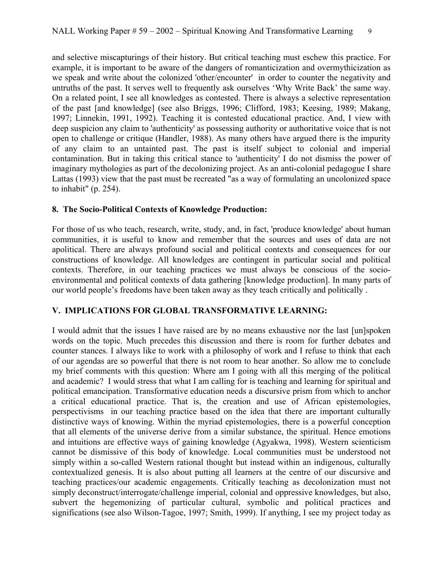and selective miscapturings of their history. But critical teaching must eschew this practice. For example, it is important to be aware of the dangers of romanticization and overmythicization as we speak and write about the colonized 'other/encounter' in order to counter the negativity and untruths of the past. It serves well to frequently ask ourselves 'Why Write Back' the same way. On a related point, I see all knowledges as contested. There is always a selective representation of the past [and knowledge] (see also Briggs, 1996; Clifford, 1983; Keesing, 1989; Makang, 1997; Linnekin, 1991, 1992). Teaching it is contested educational practice. And, I view with deep suspicion any claim to 'authenticity' as possessing authority or authoritative voice that is not open to challenge or critique (Handler, 1988). As many others have argued there is the impurity of any claim to an untainted past. The past is itself subject to colonial and imperial contamination. But in taking this critical stance to 'authenticity' I do not dismiss the power of imaginary mythologies as part of the decolonizing project. As an anti-colonial pedagogue I share Lattas (1993) view that the past must be recreated "as a way of formulating an uncolonized space to inhabit" (p. 254).

## **8. The Socio-Political Contexts of Knowledge Production:**

For those of us who teach, research, write, study, and, in fact, 'produce knowledge' about human communities, it is useful to know and remember that the sources and uses of data are not apolitical. There are always profound social and political contexts and consequences for our constructions of knowledge. All knowledges are contingent in particular social and political contexts. Therefore, in our teaching practices we must always be conscious of the socioenvironmental and political contexts of data gathering [knowledge production]. In many parts of our world people's freedoms have been taken away as they teach critically and politically .

# **V. IMPLICATIONS FOR GLOBAL TRANSFORMATIVE LEARNING:**

I would admit that the issues I have raised are by no means exhaustive nor the last [un]spoken words on the topic. Much precedes this discussion and there is room for further debates and counter stances. I always like to work with a philosophy of work and I refuse to think that each of our agendas are so powerful that there is not room to hear another. So allow me to conclude my brief comments with this question: Where am I going with all this merging of the political and academic? I would stress that what I am calling for is teaching and learning for spiritual and political emancipation. Transformative education needs a discursive prism from which to anchor a critical educational practice. That is, the creation and use of African epistemologies, perspectivisms in our teaching practice based on the idea that there are important culturally distinctive ways of knowing. Within the myriad epistemologies, there is a powerful conception that all elements of the universe derive from a similar substance, the spiritual. Hence emotions and intuitions are effective ways of gaining knowledge (Agyakwa, 1998). Western scienticism cannot be dismissive of this body of knowledge. Local communities must be understood not simply within a so-called Western rational thought but instead within an indigenous, culturally contextualized genesis. It is also about putting all learners at the centre of our discursive and teaching practices/our academic engagements. Critically teaching as decolonization must not simply deconstruct/interrogate/challenge imperial, colonial and oppressive knowledges, but also, subvert the hegemonizing of particular cultural, symbolic and political practices and significations (see also Wilson-Tagoe, 1997; Smith, 1999). If anything, I see my project today as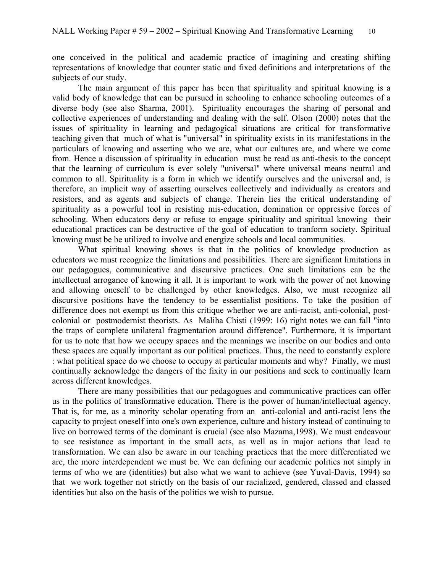one conceived in the political and academic practice of imagining and creating shifting representations of knowledge that counter static and fixed definitions and interpretations of the subjects of our study.

The main argument of this paper has been that spirituality and spiritual knowing is a valid body of knowledge that can be pursued in schooling to enhance schooling outcomes of a diverse body (see also Sharma, 2001). Spirituality encourages the sharing of personal and collective experiences of understanding and dealing with the self. Olson (2000) notes that the issues of spirituality in learning and pedagogical situations are critical for transformative teaching given that much of what is "universal" in spirituality exists in its manifestations in the particulars of knowing and asserting who we are, what our cultures are, and where we come from. Hence a discussion of spirituality in education must be read as anti-thesis to the concept that the learning of curriculum is ever solely "universal" where universal means neutral and common to all. Spirituality is a form in which we identify ourselves and the universal and, is therefore, an implicit way of asserting ourselves collectively and individually as creators and resistors, and as agents and subjects of change. Therein lies the critical understanding of spirituality as a powerful tool in resisting mis-education, domination or oppressive forces of schooling. When educators deny or refuse to engage spirituality and spiritual knowing their educational practices can be destructive of the goal of education to tranform society. Spiritual knowing must be be utilized to involve and energize schools and local communities.

What spiritual knowing shows is that in the politics of knowledge production as educators we must recognize the limitations and possibilities. There are significant limitations in our pedagogues, communicative and discursive practices. One such limitations can be the intellectual arrogance of knowing it all. It is important to work with the power of not knowing and allowing oneself to be challenged by other knowledges. Also, we must recognize all discursive positions have the tendency to be essentialist positions. To take the position of difference does not exempt us from this critique whether we are anti-racist, anti-colonial, postcolonial or postmodernist theorists. As Maliha Chisti (1999: 16) right notes we can fall "into the traps of complete unilateral fragmentation around difference". Furthermore, it is important for us to note that how we occupy spaces and the meanings we inscribe on our bodies and onto these spaces are equally important as our political practices. Thus, the need to constantly explore : what political space do we choose to occupy at particular moments and why? Finally, we must continually acknowledge the dangers of the fixity in our positions and seek to continually learn across different knowledges.

There are many possibilities that our pedagogues and communicative practices can offer us in the politics of transformative education. There is the power of human/intellectual agency. That is, for me, as a minority scholar operating from an anti-colonial and anti-racist lens the capacity to project oneself into one's own experience, culture and history instead of continuing to live on borrowed terms of the dominant is crucial (see also Mazama,1998). We must endeavour to see resistance as important in the small acts, as well as in major actions that lead to transformation. We can also be aware in our teaching practices that the more differentiated we are, the more interdependent we must be. We can defining our academic politics not simply in terms of who we are (identities) but also what we want to achieve (see Yuval-Davis, 1994) so that we work together not strictly on the basis of our racialized, gendered, classed and classed identities but also on the basis of the politics we wish to pursue.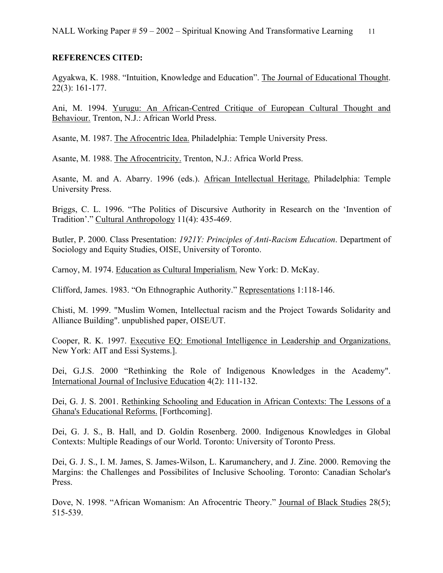# **REFERENCES CITED:**

Agyakwa, K. 1988. "Intuition, Knowledge and Education". The Journal of Educational Thought. 22(3): 161-177.

Ani, M. 1994. Yurugu: An African-Centred Critique of European Cultural Thought and Behaviour. Trenton, N.J.: African World Press.

Asante, M. 1987. The Afrocentric Idea. Philadelphia: Temple University Press.

Asante, M. 1988. The Afrocentricity. Trenton, N.J.: Africa World Press.

Asante, M. and A. Abarry. 1996 (eds.). African Intellectual Heritage. Philadelphia: Temple University Press.

Briggs, C. L. 1996. "The Politics of Discursive Authority in Research on the 'Invention of Tradition'." Cultural Anthropology 11(4): 435-469.

Butler, P. 2000. Class Presentation: *1921Y: Principles of Anti-Racism Education*. Department of Sociology and Equity Studies, OISE, University of Toronto.

Carnoy, M. 1974. Education as Cultural Imperialism. New York: D. McKay.

Clifford, James. 1983. "On Ethnographic Authority." Representations 1:118-146.

Chisti, M. 1999. "Muslim Women, Intellectual racism and the Project Towards Solidarity and Alliance Building". unpublished paper, OISE/UT.

Cooper, R. K. 1997. Executive EQ: Emotional Intelligence in Leadership and Organizations. New York: AIT and Essi Systems.].

Dei, G.J.S. 2000 "Rethinking the Role of Indigenous Knowledges in the Academy". International Journal of Inclusive Education 4(2): 111-132.

Dei, G. J. S. 2001. Rethinking Schooling and Education in African Contexts: The Lessons of a Ghana's Educational Reforms. [Forthcoming].

Dei, G. J. S., B. Hall, and D. Goldin Rosenberg. 2000. Indigenous Knowledges in Global Contexts: Multiple Readings of our World. Toronto: University of Toronto Press.

Dei, G. J. S., I. M. James, S. James-Wilson, L. Karumanchery, and J. Zine. 2000. Removing the Margins: the Challenges and Possibilites of Inclusive Schooling. Toronto: Canadian Scholar's Press.

Dove, N. 1998. "African Womanism: An Afrocentric Theory." Journal of Black Studies 28(5); 515-539.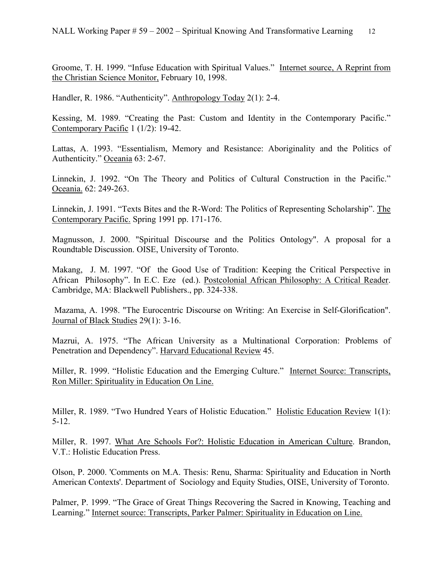Groome, T. H. 1999. "Infuse Education with Spiritual Values." Internet source, A Reprint from the Christian Science Monitor, February 10, 1998.

Handler, R. 1986. "Authenticity". Anthropology Today 2(1): 2-4.

Kessing, M. 1989. "Creating the Past: Custom and Identity in the Contemporary Pacific." Contemporary Pacific 1 (1/2): 19-42.

Lattas, A. 1993. "Essentialism, Memory and Resistance: Aboriginality and the Politics of Authenticity." Oceania 63: 2-67.

Linnekin, J. 1992. "On The Theory and Politics of Cultural Construction in the Pacific." Oceania. 62: 249-263.

Linnekin, J. 1991. "Texts Bites and the R-Word: The Politics of Representing Scholarship". The Contemporary Pacific. Spring 1991 pp. 171-176.

Magnusson, J. 2000. "Spiritual Discourse and the Politics Ontology". A proposal for a Roundtable Discussion. OISE, University of Toronto.

Makang, J. M. 1997. "Of the Good Use of Tradition: Keeping the Critical Perspective in African Philosophy". In E.C. Eze (ed.). Postcolonial African Philosophy: A Critical Reader. Cambridge, MA: Blackwell Publishers., pp. 324-338.

 Mazama, A. 1998. "The Eurocentric Discourse on Writing: An Exercise in Self-Glorification". Journal of Black Studies 29(1): 3-16.

Mazrui, A. 1975. "The African University as a Multinational Corporation: Problems of Penetration and Dependency". Harvard Educational Review 45.

Miller, R. 1999. "Holistic Education and the Emerging Culture." Internet Source: Transcripts, Ron Miller: Spirituality in Education On Line.

Miller, R. 1989. "Two Hundred Years of Holistic Education." Holistic Education Review 1(1): 5-12.

Miller, R. 1997. What Are Schools For?: Holistic Education in American Culture. Brandon, V.T.: Holistic Education Press.

Olson, P. 2000. 'Comments on M.A. Thesis: Renu, Sharma: Spirituality and Education in North American Contexts'. Department of Sociology and Equity Studies, OISE, University of Toronto.

Palmer, P. 1999. "The Grace of Great Things Recovering the Sacred in Knowing, Teaching and Learning." Internet source: Transcripts, Parker Palmer: Spirituality in Education on Line.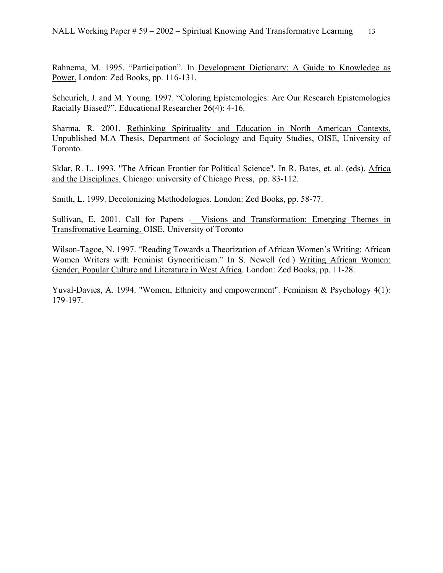Rahnema, M. 1995. "Participation". In Development Dictionary: A Guide to Knowledge as Power. London: Zed Books, pp. 116-131.

Scheurich, J. and M. Young. 1997. "Coloring Epistemologies: Are Our Research Epistemologies Racially Biased?". Educational Researcher 26(4): 4-16.

Sharma, R. 2001. Rethinking Spirituality and Education in North American Contexts. Unpublished M.A Thesis, Department of Sociology and Equity Studies, OISE, University of Toronto.

Sklar, R. L. 1993. "The African Frontier for Political Science". In R. Bates, et. al. (eds). Africa and the Disciplines. Chicago: university of Chicago Press, pp. 83-112.

Smith, L. 1999. Decolonizing Methodologies. London: Zed Books, pp. 58-77.

Sullivan, E. 2001. Call for Papers - Visions and Transformation: Emerging Themes in Transfromative Learning. OISE, University of Toronto

Wilson-Tagoe, N. 1997. "Reading Towards a Theorization of African Women's Writing: African Women Writers with Feminist Gynocriticism." In S. Newell (ed.) Writing African Women: Gender, Popular Culture and Literature in West Africa. London: Zed Books, pp. 11-28.

Yuval-Davies, A. 1994. "Women, Ethnicity and empowerment". Feminism & Psychology 4(1): 179-197.